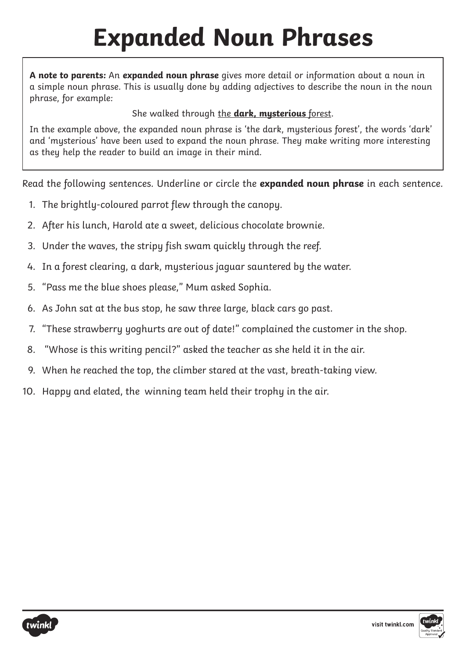## **Expanded Noun Phrases**

**A note to parents:** An **expanded noun phrase** gives more detail or information about a noun in a simple noun phrase. This is usually done by adding adjectives to describe the noun in the noun phrase, for example:

She walked through the **dark, mysterious** forest.

In the example above, the expanded noun phrase is 'the dark, mysterious forest', the words 'dark' and 'mysterious' have been used to expand the noun phrase. They make writing more interesting as they help the reader to build an image in their mind.

Read the following sentences. Underline or circle the **expanded noun phrase** in each sentence.

- 1. The brightly-coloured parrot flew through the canopy.
- 2. After his lunch, Harold ate a sweet, delicious chocolate brownie.
- 3. Under the waves, the stripy fish swam quickly through the reef.
- 4. In a forest clearing, a dark, mysterious jaguar sauntered by the water.
- 5. "Pass me the blue shoes please," Mum asked Sophia.
- 6. As John sat at the bus stop, he saw three large, black cars go past.
- 7. "These strawberry yoghurts are out of date!" complained the customer in the shop.
- 8. "Whose is this writing pencil?" asked the teacher as she held it in the air.
- 9. When he reached the top, the climber stared at the vast, breath-taking view.
- 10. Happy and elated, the winning team held their trophy in the air.

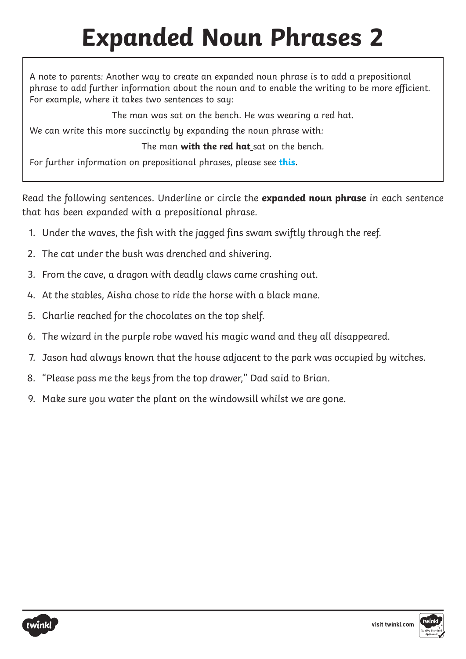## **Expanded Noun Phrases 2**

A note to parents: Another way to create an expanded noun phrase is to add a prepositional phrase to add further information about the noun and to enable the writing to be more efficient. For example, where it takes two sentences to say:

The man was sat on the bench. He was wearing a red hat.

We can write this more succinctly by expanding the noun phrase with:

The man **with the red hat** sat on the bench.

For further information on prepositional phrases, please see **this**.

Read the following sentences. Underline or circle the **expanded noun phrase** in each sentence that has been expanded with a prepositional phrase.

- 1. Under the waves, the fish with the jagged fins swam swiftly through the reef.
- 2. The cat under the bush was drenched and shivering.
- 3. From the cave, a dragon with deadly claws came crashing out.
- 4. At the stables, Aisha chose to ride the horse with a black mane.
- 5. Charlie reached for the chocolates on the top shelf.
- 6. The wizard in the purple robe waved his magic wand and they all disappeared.
- 7. Jason had always known that the house adjacent to the park was occupied by witches.
- 8. "Please pass me the keys from the top drawer," Dad said to Brian.
- 9. Make sure you water the plant on the windowsill whilst we are gone.